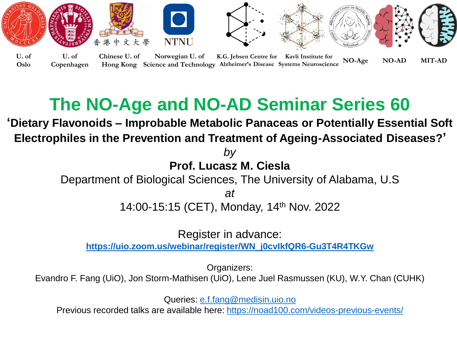

## **The NO-Age and NO-AD Seminar Series 60**

**'Dietary Flavonoids – Improbable Metabolic Panaceas or Potentially Essential Soft Electrophiles in the Prevention and Treatment of Ageing-Associated Diseases?'** 

> *by*  **Prof. Lucasz M. Ciesla**

Department of Biological Sciences, The University of Alabama, U.S

*at*

14:00-15:15 (CET), Monday, 14th Nov. 2022

Register in advance:

**[https://uio.zoom.us/webinar/register/WN\\_j0cvIkfQR6-Gu3T4R4TKGw](https://uio.zoom.us/webinar/register/WN_j0cvIkfQR6-Gu3T4R4TKGw)**

Organizers:

Evandro F. Fang (UiO), Jon Storm-Mathisen (UiO), Lene Juel Rasmussen (KU), W.Y. Chan (CUHK)

Queries: [e.f.fang@medisin.uio.no](mailto:e.f.fang@medisin.uio.no)

Previous recorded talks are available here:<https://noad100.com/videos-previous-events/>